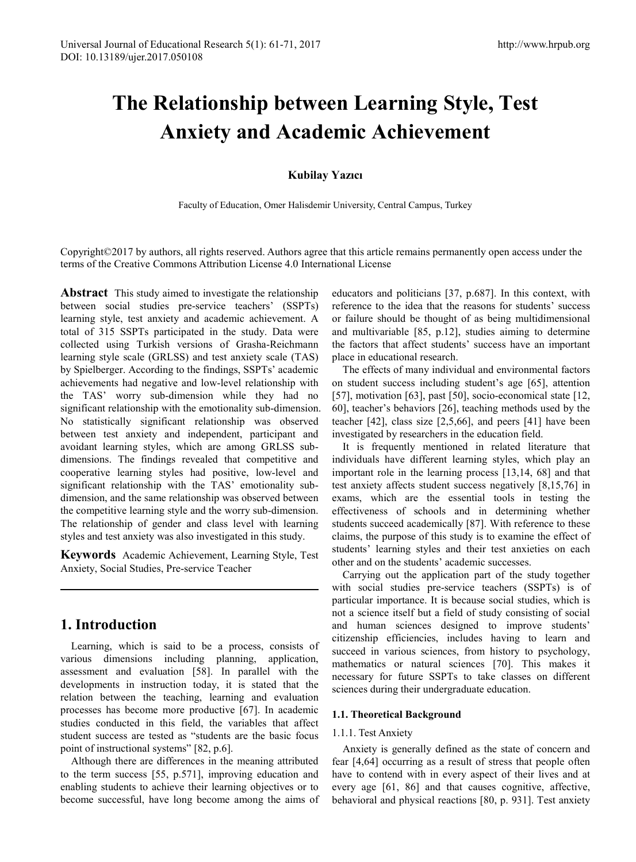# **The Relationship between Learning Style, Test Anxiety and Academic Achievement**

# **Kubilay Yazıcı**

Faculty of Education, Omer Halisdemir University, Central Campus, Turkey

Copyright©2017 by authors, all rights reserved. Authors agree that this article remains permanently open access under the terms of the Creative Commons Attribution License 4.0 International License

**Abstract** This study aimed to investigate the relationship between social studies pre-service teachers' (SSPTs) learning style, test anxiety and academic achievement. A total of 315 SSPTs participated in the study. Data were collected using Turkish versions of Grasha-Reichmann learning style scale (GRLSS) and test anxiety scale (TAS) by Spielberger. According to the findings, SSPTs' academic achievements had negative and low-level relationship with the TAS' worry sub-dimension while they had no significant relationship with the emotionality sub-dimension. No statistically significant relationship was observed between test anxiety and independent, participant and avoidant learning styles, which are among GRLSS subdimensions. The findings revealed that competitive and cooperative learning styles had positive, low-level and significant relationship with the TAS' emotionality subdimension, and the same relationship was observed between the competitive learning style and the worry sub-dimension. The relationship of gender and class level with learning styles and test anxiety was also investigated in this study.

**Keywords** Academic Achievement, Learning Style, Test Anxiety, Social Studies, Pre-service Teacher

# **1. Introduction**

Learning, which is said to be a process, consists of various dimensions including planning, application, assessment and evaluation [58]. In parallel with the developments in instruction today, it is stated that the relation between the teaching, learning and evaluation processes has become more productive [67]. In academic studies conducted in this field, the variables that affect student success are tested as "students are the basic focus point of instructional systems" [82, p.6].

Although there are differences in the meaning attributed to the term success [55, p.571], improving education and enabling students to achieve their learning objectives or to become successful, have long become among the aims of

educators and politicians [37, p.687]. In this context, with reference to the idea that the reasons for students' success or failure should be thought of as being multidimensional and multivariable [85, p.12], studies aiming to determine the factors that affect students' success have an important place in educational research.

The effects of many individual and environmental factors on student success including student's age [65], attention [57], motivation [63], past [50], socio-economical state [12, 60], teacher's behaviors [26], teaching methods used by the teacher [42], class size [2,5,66], and peers [41] have been investigated by researchers in the education field.

It is frequently mentioned in related literature that individuals have different learning styles, which play an important role in the learning process [13,14, 68] and that test anxiety affects student success negatively [8,15,76] in exams, which are the essential tools in testing the effectiveness of schools and in determining whether students succeed academically [87]. With reference to these claims, the purpose of this study is to examine the effect of students' learning styles and their test anxieties on each other and on the students' academic successes.

Carrying out the application part of the study together with social studies pre-service teachers (SSPTs) is of particular importance. It is because social studies, which is not a science itself but a field of study consisting of social and human sciences designed to improve students' citizenship efficiencies, includes having to learn and succeed in various sciences, from history to psychology, mathematics or natural sciences [70]. This makes it necessary for future SSPTs to take classes on different sciences during their undergraduate education.

# **1.1. Theoretical Background**

#### 1.1.1. Test Anxiety

Anxiety is generally defined as the state of concern and fear [4,64] occurring as a result of stress that people often have to contend with in every aspect of their lives and at every age [61, 86] and that causes cognitive, affective, behavioral and physical reactions [80, p. 931]. Test anxiety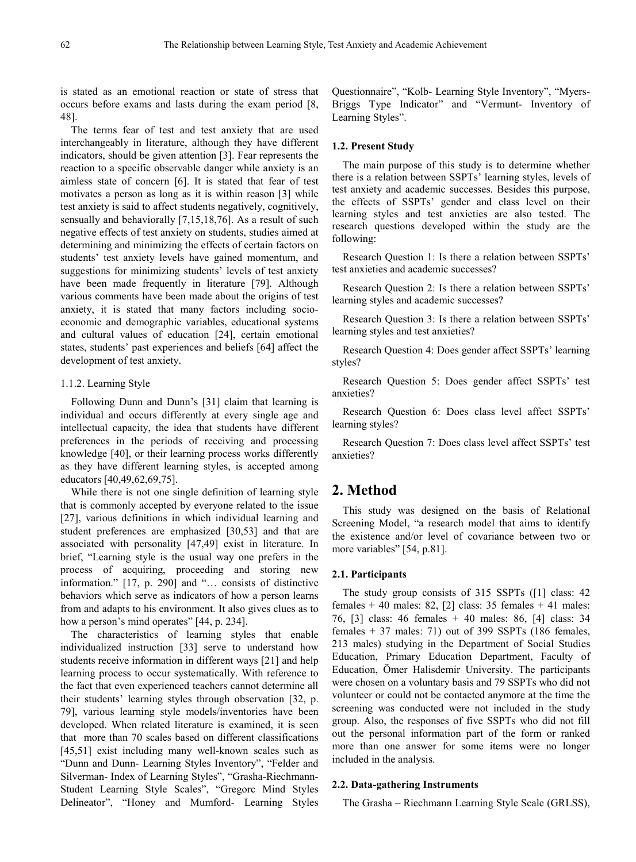is stated as an emotional reaction or state of stress that occurs before exams and lasts during the exam period [8, 48].

The terms fear of test and test anxiety that are used interchangeably in literature, although they have different indicators, should be given attention [3]. Fear represents the reaction to a specific observable danger while anxiety is an aimless state of concern [6]. It is stated that fear of test motivates a person as long as it is within reason [3] while test anxiety is said to affect students negatively, cognitively, sensually and behaviorally [7,15,18,76]. As a result of such negative effects of test anxiety on students, studies aimed at determining and minimizing the effects of certain factors on students' test anxiety levels have gained momentum, and suggestions for minimizing students' levels of test anxiety have been made frequently in literature [79]. Although various comments have been made about the origins of test anxiety, it is stated that many factors including socioeconomic and demographic variables, educational systems and cultural values of education [24], certain emotional states, students' past experiences and beliefs [64] affect the development of test anxiety.

#### 1.1.2. Learning Style

Following Dunn and Dunn's [31] claim that learning is individual and occurs differently at every single age and intellectual capacity, the idea that students have different preferences in the periods of receiving and processing knowledge [40], or their learning process works differently as they have different learning styles, is accepted among educators [40,49,62,69,75].

While there is not one single definition of learning style that is commonly accepted by everyone related to the issue [27], various definitions in which individual learning and student preferences are emphasized [30,53] and that are associated with personality [47,49] exist in literature. In brief, "Learning style is the usual way one prefers in the process of acquiring, proceeding and storing new information." [17, p. 290] and "… consists of distinctive behaviors which serve as indicators of how a person learns from and adapts to his environment. It also gives clues as to how a person's mind operates" [44, p. 234].

The characteristics of learning styles that enable individualized instruction [33] serve to understand how students receive information in different ways [21] and help learning process to occur systematically. With reference to the fact that even experienced teachers cannot determine all their students' learning styles through observation [32, p. 79], various learning style models/inventories have been developed. When related literature is examined, it is seen that more than 70 scales based on different classifications [45,51] exist including many well-known scales such as "Dunn and Dunn- Learning Styles Inventory", "Felder and Silverman- Index of Learning Styles", "Grasha-Riechmann-Student Learning Style Scales", "Gregorc Mind Styles Delineator", "Honey and Mumford- Learning Styles Questionnaire", "Kolb- Learning Style Inventory", "Myers-Briggs Type Indicator" and "Vermunt- Inventory of Learning Styles".

#### **1.2. Present Study**

The main purpose of this study is to determine whether there is a relation between SSPTs' learning styles, levels of test anxiety and academic successes. Besides this purpose, the effects of SSPTs' gender and class level on their learning styles and test anxieties are also tested. The research questions developed within the study are the following:

Research Question 1: Is there a relation between SSPTs' test anxieties and academic successes?

Research Question 2: Is there a relation between SSPTs' learning styles and academic successes?

Research Question 3: Is there a relation between SSPTs' learning styles and test anxieties?

Research Question 4: Does gender affect SSPTs' learning styles?

Research Question 5: Does gender affect SSPTs' test anxieties?

Research Question 6: Does class level affect SSPTs' learning styles?

Research Question 7: Does class level affect SSPTs' test anxieties?

# **2. Method**

This study was designed on the basis of Relational Screening Model, "a research model that aims to identify the existence and/or level of covariance between two or more variables" [54, p.81].

#### **2.1. Participants**

The study group consists of 315 SSPTs ([1] class: 42 females + 40 males: 82, [2] class: 35 females + 41 males: 76, [3] class: 46 females + 40 males: 86, [4] class: 34 females  $+$  37 males: 71) out of 399 SSPTs (186 females, 213 males) studying in the Department of Social Studies Education, Primary Education Department, Faculty of Education, Ömer Halisdemir University. The participants were chosen on a voluntary basis and 79 SSPTs who did not volunteer or could not be contacted anymore at the time the screening was conducted were not included in the study group. Also, the responses of five SSPTs who did not fill out the personal information part of the form or ranked more than one answer for some items were no longer included in the analysis.

#### **2.2. Data-gathering Instruments**

The Grasha – Riechmann Learning Style Scale (GRLSS),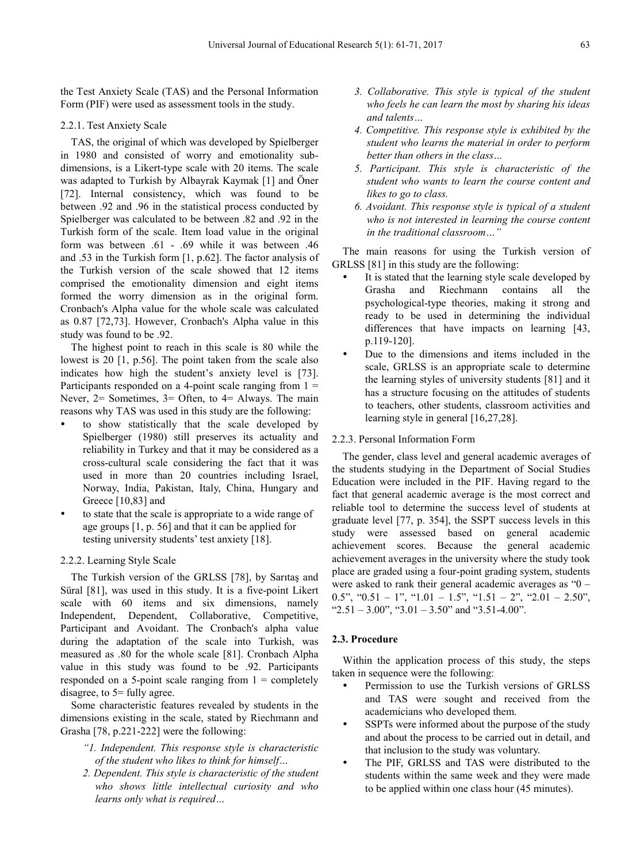the Test Anxiety Scale (TAS) and the Personal Information Form (PIF) were used as assessment tools in the study.

#### 2.2.1. Test Anxiety Scale

TAS, the original of which was developed by Spielberger in 1980 and consisted of worry and emotionality subdimensions, is a Likert-type scale with 20 items. The scale was adapted to Turkish by Albayrak Kaymak [1] and Öner [72]. Internal consistency, which was found to be between .92 and .96 in the statistical process conducted by Spielberger was calculated to be between .82 and .92 in the Turkish form of the scale. Item load value in the original form was between .61 - .69 while it was between .46 and .53 in the Turkish form [1, p.62]. The factor analysis of the Turkish version of the scale showed that 12 items comprised the emotionality dimension and eight items formed the worry dimension as in the original form. Cronbach's Alpha value for the whole scale was calculated as 0.87 [72,73]. However, Cronbach's Alpha value in this study was found to be .92.

The highest point to reach in this scale is 80 while the lowest is 20 [1, p.56]. The point taken from the scale also indicates how high the student's anxiety level is [73]. Participants responded on a 4-point scale ranging from  $1 =$ Never, 2= Sometimes, 3= Often, to 4= Always. The main reasons why TAS was used in this study are the following:

- to show statistically that the scale developed by Spielberger (1980) still preserves its actuality and reliability in Turkey and that it may be considered as a cross-cultural scale considering the fact that it was used in more than 20 countries including Israel, Norway, India, Pakistan, Italy, China, Hungary and Greece [10,83] and
- to state that the scale is appropriate to a wide range of age groups [1, p. 56] and that it can be applied for testing university students' test anxiety [18].

#### 2.2.2. Learning Style Scale

The Turkish version of the GRLSS [78], by Sarıtaş and Süral [81], was used in this study. It is a five-point Likert scale with 60 items and six dimensions, namely Independent, Dependent, Collaborative, Competitive, Participant and Avoidant. The Cronbach's alpha value during the adaptation of the scale into Turkish, was measured as .80 for the whole scale [81]. Cronbach Alpha value in this study was found to be .92. Participants responded on a 5-point scale ranging from  $1 =$  completely disagree, to 5= fully agree.

Some characteristic features revealed by students in the dimensions existing in the scale, stated by Riechmann and Grasha [78, p.221-222] were the following:

- *"1. Independent. This response style is characteristic of the student who likes to think for himself…*
- *2. Dependent. This style is characteristic of the student who shows little intellectual curiosity and who learns only what is required…*
- *3. Collaborative. This style is typical of the student who feels he can learn the most by sharing his ideas and talents…*
- *4. Competitive. This response style is exhibited by the student who learns the material in order to perform better than others in the class…*
- *5. Participant. This style is characteristic of the student who wants to learn the course content and likes to go to class.*
- *6. Avoidant. This response style is typical of a student who is not interested in learning the course content in the traditional classroom…"*

The main reasons for using the Turkish version of GRLSS [81] in this study are the following:

- It is stated that the learning style scale developed by Grasha and Riechmann contains all the psychological-type theories, making it strong and ready to be used in determining the individual differences that have impacts on learning [43, p.119-120].
- Due to the dimensions and items included in the scale, GRLSS is an appropriate scale to determine the learning styles of university students [81] and it has a structure focusing on the attitudes of students to teachers, other students, classroom activities and learning style in general [16,27,28].

#### 2.2.3. Personal Information Form

The gender, class level and general academic averages of the students studying in the Department of Social Studies Education were included in the PIF. Having regard to the fact that general academic average is the most correct and reliable tool to determine the success level of students at graduate level [77, p. 354], the SSPT success levels in this study were assessed based on general academic achievement scores. Because the general academic achievement averages in the university where the study took place are graded using a four-point grading system, students were asked to rank their general academic averages as "0 – 0.5", "0.51 – 1", "1.01 – 1.5", "1.51 – 2", "2.01 – 2.50", " $2.51 - 3.00$ ", " $3.01 - 3.50$ " and " $3.51 - 4.00$ ".

#### **2.3. Procedure**

Within the application process of this study, the steps taken in sequence were the following:

- Permission to use the Turkish versions of GRLSS and TAS were sought and received from the academicians who developed them.
- SSPTs were informed about the purpose of the study and about the process to be carried out in detail, and that inclusion to the study was voluntary.
- The PIF, GRLSS and TAS were distributed to the students within the same week and they were made to be applied within one class hour (45 minutes).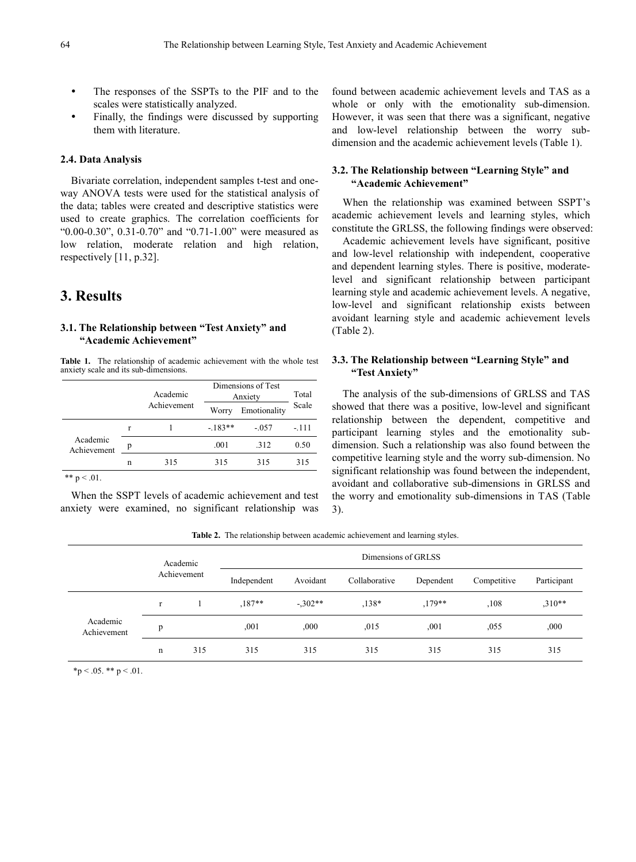- The responses of the SSPTs to the PIF and to the scales were statistically analyzed.
- Finally, the findings were discussed by supporting them with literature.

#### **2.4. Data Analysis**

Bivariate correlation, independent samples t-test and oneway ANOVA tests were used for the statistical analysis of the data; tables were created and descriptive statistics were used to create graphics. The correlation coefficients for "0.00-0.30", 0.31-0.70" and "0.71-1.00" were measured as low relation, moderate relation and high relation, respectively [11, p.32].

# **3. Results**

#### **3.1. The Relationship between "Test Anxiety" and "Academic Achievement"**

**Table 1.** The relationship of academic achievement with the whole test anxiety scale and its sub-dimensions.

|                         |   | Academic    | Dimensions of Test<br>Anxiety | Total        |       |
|-------------------------|---|-------------|-------------------------------|--------------|-------|
|                         |   | Achievement | Worry                         | Emotionality | Scale |
| Academic<br>Achievement | r |             | $-183**$                      | $-.057$      | -.111 |
|                         | p |             | .001                          | .312         | 0.50  |
|                         | n | 315         | 315                           | 315          | 315   |

\*\*  $p < .01$ .

When the SSPT levels of academic achievement and test anxiety were examined, no significant relationship was

found between academic achievement levels and TAS as a whole or only with the emotionality sub-dimension. However, it was seen that there was a significant, negative and low-level relationship between the worry subdimension and the academic achievement levels (Table 1).

## **3.2. The Relationship between "Learning Style" and "Academic Achievement"**

When the relationship was examined between SSPT's academic achievement levels and learning styles, which constitute the GRLSS, the following findings were observed:

Academic achievement levels have significant, positive and low-level relationship with independent, cooperative and dependent learning styles. There is positive, moderatelevel and significant relationship between participant learning style and academic achievement levels. A negative, low-level and significant relationship exists between avoidant learning style and academic achievement levels (Table 2).

## **3.3. The Relationship between "Learning Style" and "Test Anxiety"**

The analysis of the sub-dimensions of GRLSS and TAS showed that there was a positive, low-level and significant relationship between the dependent, competitive and participant learning styles and the emotionality subdimension. Such a relationship was also found between the competitive learning style and the worry sub-dimension. No significant relationship was found between the independent, avoidant and collaborative sub-dimensions in GRLSS and the worry and emotionality sub-dimensions in TAS (Table 3).

**Table 2.** The relationship between academic achievement and learning styles.

|                         | Academic |             | Dimensions of GRLSS |           |               |           |             |             |  |
|-------------------------|----------|-------------|---------------------|-----------|---------------|-----------|-------------|-------------|--|
|                         |          | Achievement | Independent         | Avoidant  | Collaborative | Dependent | Competitive | Participant |  |
| Academic<br>Achievement | r        |             | $.187**$            | $-.302**$ | $,138*$       | $.179**$  | ,108        | $,310**$    |  |
|                         | p        |             | ,001                | ,000      | .015          | ,001      | ,055        | ,000        |  |
|                         | n        | 315         | 315                 | 315       | 315           | 315       | 315         | 315         |  |

 $*p < .05$ . \*\*  $p < .01$ .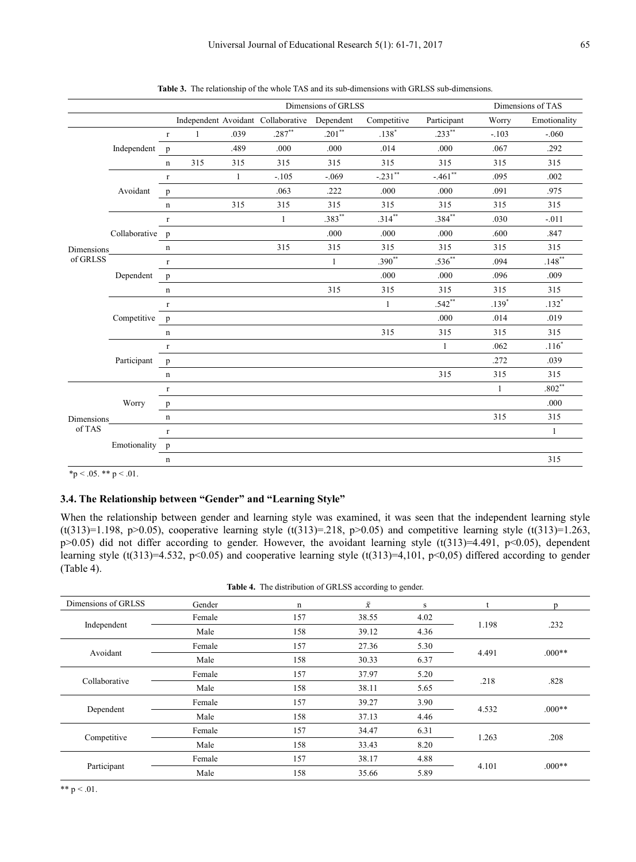|            |                 | Dimensions of GRLSS |              |              |                                              | Dimensions of TAS |              |                       |              |              |
|------------|-----------------|---------------------|--------------|--------------|----------------------------------------------|-------------------|--------------|-----------------------|--------------|--------------|
|            |                 |                     |              |              | Independent Avoidant Collaborative Dependent |                   | Competitive  | Participant           | Worry        | Emotionality |
|            |                 | $\Gamma$            | $\mathbf{1}$ | .039         | $.287**$                                     | $.201**$          | $.138*$      | $.233**$              | $-.103$      | $-.060$      |
|            | Independent     | $\mathbf{p}$        |              | .489         | .000                                         | .000              | .014         | .000                  | .067         | .292         |
|            |                 | $\mathbf n$         | 315          | 315          | 315                                          | 315               | 315          | 315                   | 315          | 315          |
|            |                 | $\Gamma$            |              | $\mathbf{1}$ | $-.105$                                      | $-.069$           | $-.231$ **   | $-.461$ <sup>**</sup> | .095         | .002         |
|            | Avoidant        | $\mathbf{p}$        |              |              | .063                                         | .222              | .000         | .000                  | .091         | .975         |
|            |                 | $\mathbf n$         |              | 315          | 315                                          | 315               | 315          | 315                   | 315          | 315          |
|            |                 | $\Gamma$            |              |              | $\mathbf{1}$                                 | $.383***$         | $.314***$    | .384**                | .030         | $-.011$      |
|            | Collaborative p |                     |              |              |                                              | .000              | .000         | .000                  | .600         | .847         |
| Dimensions |                 | $\mathbf n$         |              |              | 315                                          | 315               | 315          | 315                   | 315          | 315          |
| of GRLSS   | Dependent       | $\mathbf r$         |              |              |                                              | $\mathbf{1}$      | $.390^{**}$  | $.536**$              | .094         | $.148***$    |
|            |                 | $\mathbf{p}$        |              |              |                                              |                   | .000         | .000                  | .096         | .009         |
|            |                 | $\mathbf n$         |              |              |                                              | 315               | 315          | 315                   | 315          | 315          |
|            | Competitive     | $\Gamma$            |              |              |                                              |                   | $\mathbf{1}$ | $.542**$              | $.139*$      | $.132*$      |
|            |                 | $\mathbf{p}$        |              |              |                                              |                   |              | .000                  | .014         | .019         |
|            |                 | $\mathbf n$         |              |              |                                              |                   | 315          | 315                   | 315          | 315          |
|            |                 | $\Gamma$            |              |              |                                              |                   |              | $\mathbf{1}$          | .062         | $.116*$      |
|            | Participant     | $\mathbf{p}$        |              |              |                                              |                   |              |                       | .272         | .039         |
|            |                 | $\mathbf n$         |              |              |                                              |                   |              | 315                   | 315          | 315          |
|            |                 | $\Gamma$            |              |              |                                              |                   |              |                       | $\mathbf{1}$ | $.802**$     |
|            | Worry           | $\, {\bf p}$        |              |              |                                              |                   |              |                       |              | .000         |
| Dimensions |                 | $\mathbf n$         |              |              |                                              |                   |              |                       | 315          | 315          |
| of TAS     |                 | $\Gamma$            |              |              |                                              |                   |              |                       |              | 1            |
|            | Emotionality p  |                     |              |              |                                              |                   |              |                       |              |              |
|            |                 | n                   |              |              |                                              |                   |              |                       |              | 315          |

**Table 3.** The relationship of the whole TAS and its sub-dimensions with GRLSS sub-dimensions.

\*p < .05. \*\* p < .01.

#### **3.4. The Relationship between "Gender" and "Learning Style"**

When the relationship between gender and learning style was examined, it was seen that the independent learning style (t(313)=1.198, p>0.05), cooperative learning style (t(313)=.218, p>0.05) and competitive learning style (t(313)=1.263,  $p>0.05$ ) did not differ according to gender. However, the avoidant learning style (t(313)=4.491,  $p<0.05$ ), dependent learning style (t(313)=4.532, p<0.05) and cooperative learning style (t(313)=4,101, p<0,05) differed according to gender (Table 4).

**Table 4.** The distribution of GRLSS according to gender.

| Dimensions of GRLSS | Gender | n   | $\bar{x}$ | s    | t     | n        |  |
|---------------------|--------|-----|-----------|------|-------|----------|--|
|                     | Female | 157 | 38.55     | 4.02 | 1.198 |          |  |
| Independent         | Male   | 158 | 39.12     | 4.36 |       | .232     |  |
|                     | Female | 157 | 27.36     | 5.30 |       | $.000**$ |  |
| Avoidant            | Male   | 158 | 30.33     | 6.37 | 4.491 |          |  |
| Collaborative       | Female | 157 | 37.97     | 5.20 |       | .828     |  |
|                     | Male   | 158 | 38.11     | 5.65 | .218  |          |  |
|                     | Female | 157 | 39.27     | 3.90 | 4.532 | $.000**$ |  |
| Dependent           | Male   | 158 | 37.13     | 4.46 |       |          |  |
|                     | Female | 157 | 34.47     | 6.31 |       |          |  |
| Competitive         | Male   | 158 | 33.43     | 8.20 | 1.263 | .208     |  |
| Participant         | Female | 157 | 38.17     | 4.88 | 4.101 | $.000**$ |  |
|                     | Male   | 158 | 35.66     | 5.89 |       |          |  |

\*\*  $p < .01$ .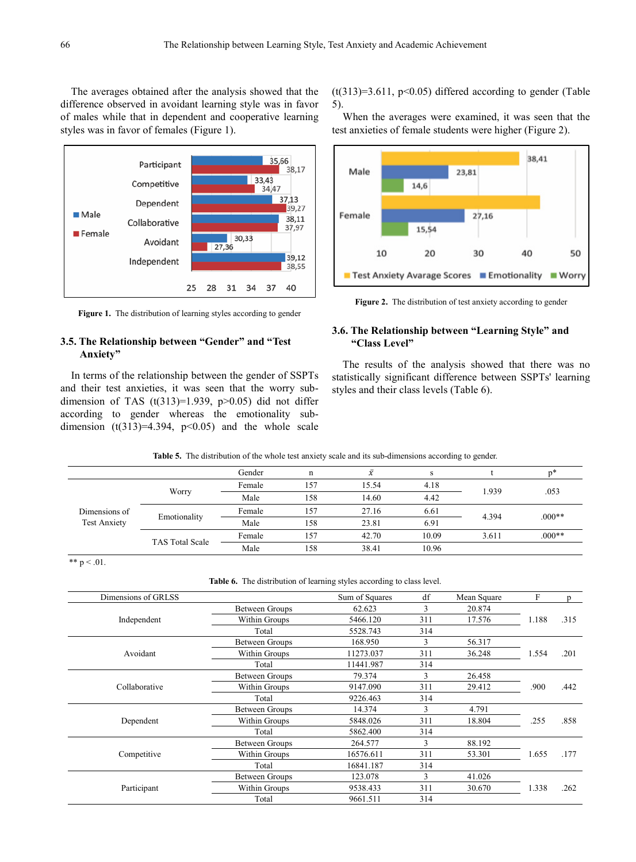The averages obtained after the analysis showed that the difference observed in avoidant learning style was in favor of males while that in dependent and cooperative learning styles was in favor of females (Figure 1).



**Figure 1.** The distribution of learning styles according to gender

#### **3.5. The Relationship between "Gender" and "Test Anxiety"**

In terms of the relationship between the gender of SSPTs and their test anxieties, it was seen that the worry subdimension of TAS  $(t(313)=1.939, p>0.05)$  did not differ according to gender whereas the emotionality subdimension  $(t(313)=4.394, p<0.05)$  and the whole scale

 $(t(313)=3.611, p<0.05)$  differed according to gender (Table 5).

When the averages were examined, it was seen that the test anxieties of female students were higher (Figure 2).



**Figure 2.** The distribution of test anxiety according to gender

## **3.6. The Relationship between "Learning Style" and "Class Level"**

The results of the analysis showed that there was no statistically significant difference between SSPTs' learning styles and their class levels (Table 6).

|  |  |  | <b>Table 5.</b> The distribution of the whole test anxiety scale and its sub-dimensions according to gender. |  |
|--|--|--|--------------------------------------------------------------------------------------------------------------|--|
|  |  |  |                                                                                                              |  |

|                                      |                        | Gender | n   | $\bar{v}$ |       |       | n*       |  |
|--------------------------------------|------------------------|--------|-----|-----------|-------|-------|----------|--|
| Dimensions of<br><b>Test Anxiety</b> |                        | Female | 157 | 15.54     | 4.18  |       | .053     |  |
|                                      | Worry                  | Male   | 158 | 14.60     | 4.42  | 1.939 |          |  |
|                                      |                        | Female | 157 | 27.16     | 6.61  | 4.394 |          |  |
|                                      | Emotionality           | Male   | 158 | 23.81     | 6.91  |       | $.000**$ |  |
|                                      |                        | Female | 157 | 42.70     | 10.09 | 3.611 | $0.00**$ |  |
|                                      | <b>TAS Total Scale</b> | Male   | 158 | 38.41     | 10.96 |       |          |  |

\*\*  $p < .01$ .

**Table 6.** The distribution of learning styles according to class level.

| Dimensions of GRLSS        |                       | Sum of Squares | df  | Mean Square | F     | D    |
|----------------------------|-----------------------|----------------|-----|-------------|-------|------|
|                            | Between Groups        | 62.623         | 3   | 20.874      |       |      |
| Independent                | Within Groups         | 5466.120       | 311 | 17.576      | 1.188 | .315 |
|                            | Total                 | 5528.743       | 314 |             |       |      |
|                            | <b>Between Groups</b> | 168.950        | 3   | 56.317      |       |      |
| Avoidant                   | Within Groups         | 11273.037      | 311 | 36.248      | 1.554 | .201 |
| Collaborative              | Total                 | 11441.987      | 314 |             |       |      |
|                            | <b>Between Groups</b> | 79.374         | 3   | 26.458      |       | .442 |
|                            | Within Groups         | 9147.090       | 311 | 29.412      | .900  |      |
|                            | Total                 | 9226.463       | 314 |             |       |      |
|                            | <b>Between Groups</b> | 14.374         | 3   | 4.791       |       | .858 |
| Dependent                  | Within Groups         | 5848.026       | 311 | 18.804      | .255  |      |
| Competitive<br>Participant | Total                 | 5862.400       | 314 |             |       |      |
|                            | Between Groups        | 264.577        | 3   | 88.192      |       |      |
|                            | Within Groups         | 16576.611      | 311 | 53.301      | 1.655 | .177 |
|                            | Total                 | 16841.187      | 314 |             |       |      |
|                            | <b>Between Groups</b> | 123.078        | 3   | 41.026      |       | .262 |
|                            | Within Groups         | 9538.433       | 311 | 30.670      | 1.338 |      |
|                            | Total                 | 9661.511       | 314 |             |       |      |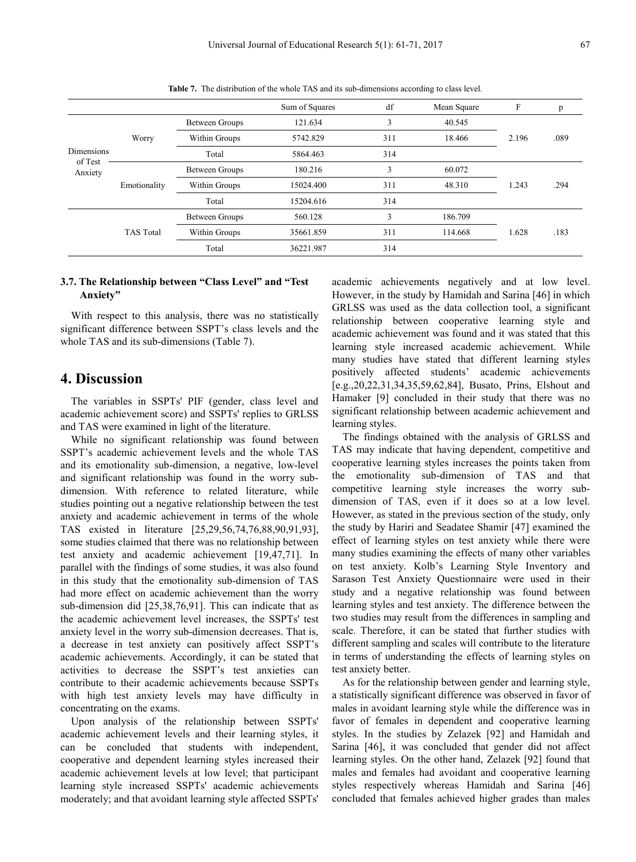|                                         |                  |                | Sum of Squares | df  | Mean Square | F     | p    |
|-----------------------------------------|------------------|----------------|----------------|-----|-------------|-------|------|
| <b>Dimensions</b><br>of Test<br>Anxiety |                  | Between Groups | 121.634        | 3   | 40.545      |       |      |
|                                         | Worry            | Within Groups  | 5742.829       | 311 | 18.466      |       | .089 |
|                                         |                  | Total          | 5864.463       | 314 |             |       |      |
|                                         |                  | Between Groups | 180.216        | 3   | 60.072      |       |      |
|                                         | Emotionality     | Within Groups  | 15024.400      | 311 | 48.310      | 1.243 | .294 |
|                                         |                  | Total          | 15204.616      | 314 |             |       |      |
|                                         |                  | Between Groups | 560.128        | 3   | 186.709     |       |      |
|                                         | <b>TAS Total</b> | Within Groups  | 35661.859      | 311 | 114.668     | 1.628 | .183 |
|                                         |                  | Total          | 36221.987      | 314 |             |       |      |

**Table 7.** The distribution of the whole TAS and its sub-dimensions according to class level.

## **3.7. The Relationship between "Class Level" and "Test Anxiety"**

With respect to this analysis, there was no statistically significant difference between SSPT's class levels and the whole TAS and its sub-dimensions (Table 7).

# **4. Discussion**

The variables in SSPTs' PIF (gender, class level and academic achievement score) and SSPTs' replies to GRLSS and TAS were examined in light of the literature.

While no significant relationship was found between SSPT's academic achievement levels and the whole TAS and its emotionality sub-dimension, a negative, low-level and significant relationship was found in the worry subdimension. With reference to related literature, while studies pointing out a negative relationship between the test anxiety and academic achievement in terms of the whole TAS existed in literature [25,29,56,74,76,88,90,91,93], some studies claimed that there was no relationship between test anxiety and academic achievement [19,47,71]. In parallel with the findings of some studies, it was also found in this study that the emotionality sub-dimension of TAS had more effect on academic achievement than the worry sub-dimension did [25,38,76,91]. This can indicate that as the academic achievement level increases, the SSPTs' test anxiety level in the worry sub-dimension decreases. That is, a decrease in test anxiety can positively affect SSPT's academic achievements. Accordingly, it can be stated that activities to decrease the SSPT's test anxieties can contribute to their academic achievements because SSPTs with high test anxiety levels may have difficulty in concentrating on the exams.

Upon analysis of the relationship between SSPTs' academic achievement levels and their learning styles, it can be concluded that students with independent, cooperative and dependent learning styles increased their academic achievement levels at low level; that participant learning style increased SSPTs' academic achievements moderately; and that avoidant learning style affected SSPTs'

academic achievements negatively and at low level. However, in the study by Hamidah and Sarina [46] in which GRLSS was used as the data collection tool, a significant relationship between cooperative learning style and academic achievement was found and it was stated that this learning style increased academic achievement. While many studies have stated that different learning styles positively affected students' academic achievements [e.g.,20,22,31,34,35,59,62,84], Busato, Prins, Elshout and Hamaker [9] concluded in their study that there was no significant relationship between academic achievement and learning styles.

The findings obtained with the analysis of GRLSS and TAS may indicate that having dependent, competitive and cooperative learning styles increases the points taken from the emotionality sub-dimension of TAS and that competitive learning style increases the worry subdimension of TAS, even if it does so at a low level. However, as stated in the previous section of the study, only the study by Hariri and Seadatee Shamir [47] examined the effect of learning styles on test anxiety while there were many studies examining the effects of many other variables on test anxiety. Kolb's Learning Style Inventory and Sarason Test Anxiety Questionnaire were used in their study and a negative relationship was found between learning styles and test anxiety. The difference between the two studies may result from the differences in sampling and scale. Therefore, it can be stated that further studies with different sampling and scales will contribute to the literature in terms of understanding the effects of learning styles on test anxiety better.

As for the relationship between gender and learning style, a statistically significant difference was observed in favor of males in avoidant learning style while the difference was in favor of females in dependent and cooperative learning styles. In the studies by Zelazek [92] and Hamidah and Sarina [46], it was concluded that gender did not affect learning styles. On the other hand, Zelazek [92] found that males and females had avoidant and cooperative learning styles respectively whereas Hamidah and Sarina [46] concluded that females achieved higher grades than males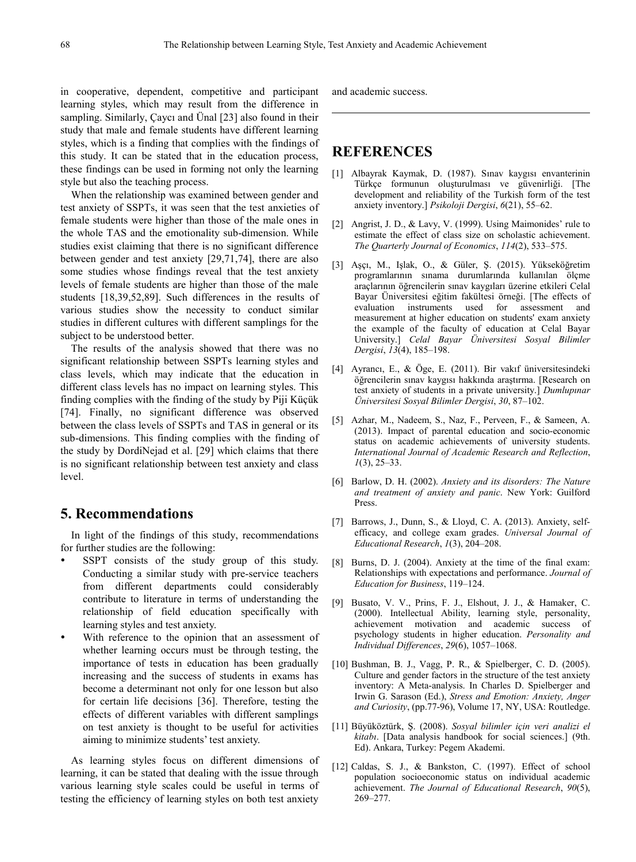in cooperative, dependent, competitive and participant learning styles, which may result from the difference in sampling. Similarly, Çaycı and Ünal [23] also found in their study that male and female students have different learning styles, which is a finding that complies with the findings of this study. It can be stated that in the education process, these findings can be used in forming not only the learning style but also the teaching process.

When the relationship was examined between gender and test anxiety of SSPTs, it was seen that the test anxieties of female students were higher than those of the male ones in the whole TAS and the emotionality sub-dimension. While studies exist claiming that there is no significant difference between gender and test anxiety [29,71,74], there are also some studies whose findings reveal that the test anxiety levels of female students are higher than those of the male students [18,39,52,89]. Such differences in the results of various studies show the necessity to conduct similar studies in different cultures with different samplings for the subject to be understood better.

The results of the analysis showed that there was no significant relationship between SSPTs learning styles and class levels, which may indicate that the education in different class levels has no impact on learning styles. This finding complies with the finding of the study by Piji Küçük [74]. Finally, no significant difference was observed between the class levels of SSPTs and TAS in general or its sub-dimensions. This finding complies with the finding of the study by DordiNejad et al. [29] which claims that there is no significant relationship between test anxiety and class level.

# **5. Recommendations**

In light of the findings of this study, recommendations for further studies are the following:

- SSPT consists of the study group of this study. Conducting a similar study with pre-service teachers from different departments could considerably contribute to literature in terms of understanding the relationship of field education specifically with learning styles and test anxiety.
- With reference to the opinion that an assessment of whether learning occurs must be through testing, the importance of tests in education has been gradually increasing and the success of students in exams has become a determinant not only for one lesson but also for certain life decisions [36]. Therefore, testing the effects of different variables with different samplings on test anxiety is thought to be useful for activities aiming to minimize students' test anxiety.

As learning styles focus on different dimensions of learning, it can be stated that dealing with the issue through various learning style scales could be useful in terms of testing the efficiency of learning styles on both test anxiety

and academic success.

# **REFERENCES**

- [1] Albayrak Kaymak, D. (1987). Sınav kaygısı envanterinin Türkçe formunun oluşturulması ve güvenirliği. [The development and reliability of the Turkish form of the test anxiety inventory.] *Psikoloji Dergisi*, *6*(21), 55–62.
- [2] Angrist, J. D., & Lavy, V. (1999). Using Maimonides' rule to estimate the effect of class size on scholastic achievement. *The Quarterly Journal of Economics*, *114*(2), 533–575.
- [3] Aşçı, M., Işlak, O., & Güler, Ş. (2015). Yükseköğretim programlarının sınama durumlarında kullanılan ölçme araçlarının öğrencilerin sınav kaygıları üzerine etkileri Celal Bayar Üniversitesi eğitim fakültesi örneği. [The effects of evaluation instruments used for assessment and measurement at higher education on students' exam anxiety the example of the faculty of education at Celal Bayar University.] *Celal Bayar Üniversitesi Sosyal Bilimler Dergisi*, *13*(4), 185–198.
- [4] Ayrancı, E., & Öge, E. (2011). Bir vakıf üniversitesindeki öğrencilerin sınav kaygısı hakkında araştırma. [Research on test anxiety of students in a private university.] *Dumlupınar Üniversitesi Sosyal Bilimler Dergisi*, *30*, 87–102.
- [5] Azhar, M., Nadeem, S., Naz, F., Perveen, F., & Sameen, A. (2013). Impact of parental education and socio-economic status on academic achievements of university students. *International Journal of Academic Research and Reflection*, *1*(3), 25–33.
- [6] Barlow, D. H. (2002). *Anxiety and its disorders: The Nature and treatment of anxiety and panic*. New York: Guilford Press.
- [7] Barrows, J., Dunn, S., & Lloyd, C. A. (2013). Anxiety, selfefficacy, and college exam grades. *Universal Journal of Educational Research*, *1*(3), 204–208.
- [8] Burns, D. J. (2004). Anxiety at the time of the final exam: Relationships with expectations and performance. *Journal of Education for Business*, 119–124.
- [9] Busato, V. V., Prins, F. J., Elshout, J. J., & Hamaker, C. (2000). Intellectual Ability, learning style, personality, achievement motivation and academic success of psychology students in higher education. *Personality and Individual Differences*, *29*(6), 1057–1068.
- [10] Bushman, B. J., Vagg, P. R., & Spielberger, C. D. (2005). Culture and gender factors in the structure of the test anxiety inventory: A Meta-analysis. In Charles D. Spielberger and Irwin G. Sarason (Ed.), *Stress and Emotion: Anxiety, Anger and Curiosity*, (pp.77-96), Volume 17, NY, USA: Routledge.
- [11] Büyüköztürk, Ş. (2008). *Sosyal bilimler için veri analizi el kitabı*. [Data analysis handbook for social sciences.] (9th. Ed). Ankara, Turkey: Pegem Akademi.
- [12] Caldas, S. J., & Bankston, C. (1997). Effect of school population socioeconomic status on individual academic achievement. *The Journal of Educational Research*, *90*(5), 269–277.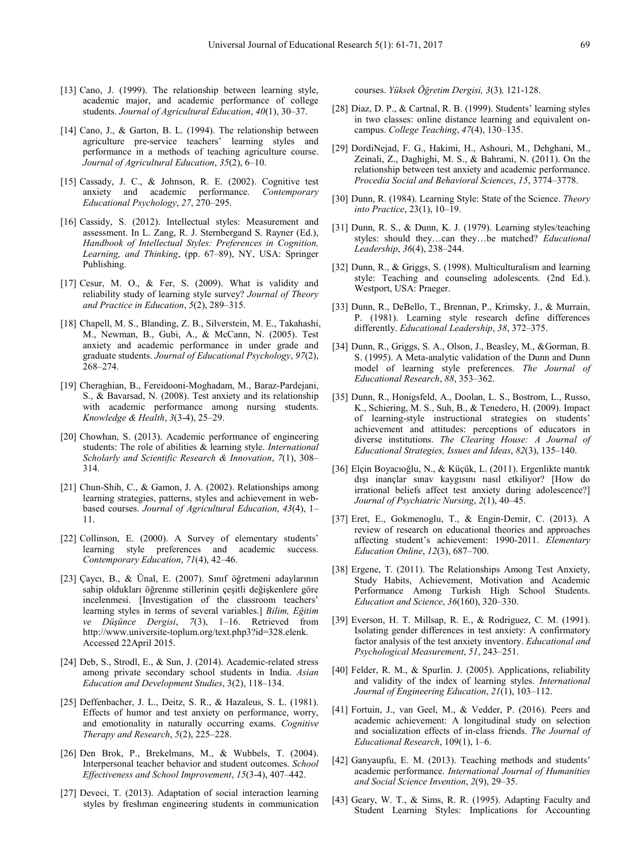- [13] Cano, J. (1999). The relationship between learning style, academic major, and academic performance of college students. *Journal of Agricultural Education*, *40*(1), 30–37.
- [14] Cano, J., & Garton, B. L. (1994). The relationship between agriculture pre-service teachers' learning styles and performance in a methods of teaching agriculture course. *Journal of Agricultural Education*, *35*(2), 6–10.
- [15] Cassady, J. C., & Johnson, R. E. (2002). Cognitive test anxiety and academic performance. *Contemporary Educational Psychology*, *27*, 270–295.
- [16] Cassidy, S. (2012). Intellectual styles: Measurement and assessment. In L. Zang, R. J. Sternbergand S. Rayner (Ed.), *Handbook of Intellectual Styles: Preferences in Cognition, Learning, and Thinking*, (pp. 67–89), NY, USA: Springer Publishing.
- [17] Cesur, M. O., & Fer, S. (2009). What is validity and reliability study of learning style survey? *Journal of Theory and Practice in Education*, *5*(2), 289–315.
- [18] Chapell, M. S., Blanding, Z. B., Silverstein, M. E., Takahashi, M., Newman, B., Gubi, A., & McCann, N. (2005). Test anxiety and academic performance in under grade and graduate students. *Journal of Educational Psychology*, *97*(2), 268–274.
- [19] Cheraghian, B., Fereidooni-Moghadam, M., Baraz-Pardejani, S., & Bavarsad, N. (2008). Test anxiety and its relationship with academic performance among nursing students. *Knowledge & Health*, *3*(3-4), 25–29.
- [20] Chowhan, S. (2013). Academic performance of engineering students: The role of abilities & learning style. *International Scholarly and Scientific Research & Innovation*, *7*(1), 308– 314.
- [21] Chun-Shih, C., & Gamon, J. A. (2002). Relationships among learning strategies, patterns, styles and achievement in webbased courses. *Journal of Agricultural Education*, *43*(4), 1– 11.
- [22] Collinson, E. (2000). A Survey of elementary students' learning style preferences and academic success. *Contemporary Education*, *71*(4), 42–46.
- [23] Çaycı, B., & Ünal, E. (2007). Sınıf öğretmeni adaylarının sahip oldukları öğrenme stillerinin çeşitli değişkenlere göre incelenmesi. [Investigation of the classroom teachers' learning styles in terms of several variables.] *Bilim, Eğitim ve Düşünce Dergisi*, *7*(3), 1–16. Retrieved from http://www.universite-toplum.org/text.php3?id=328.elenk. Accessed 22April 2015.
- [24] Deb, S., Strodl, E., & Sun, J. (2014). Academic-related stress among private secondary school students in India. *Asian Education and Development Studies*, 3(2), 118–134.
- [25] Deffenbacher, J. L., Deitz, S. R., & Hazaleus, S. L. (1981). Effects of humor and test anxiety on performance, worry, and emotionality in naturally occurring exams. *Cognitive Therapy and Research*, *5*(2), 225–228.
- [26] Den Brok, P., Brekelmans, M., & Wubbels, T. (2004). Interpersonal teacher behavior and student outcomes. *School Effectiveness and School Improvement*, *15*(3-4), 407–442.
- [27] Deveci, T. (2013). Adaptation of social interaction learning styles by freshman engineering students in communication

courses. *Yüksek Öğretim Dergisi, 3*(3)*,* 121-128.

- [28] Diaz, D. P., & Cartnal, R. B. (1999). Students' learning styles in two classes: online distance learning and equivalent oncampus. *College Teaching*, *47*(4), 130–135.
- [29] DordiNejad, F. G., Hakimi, H., Ashouri, M., Dehghani, M., Zeinali, Z., Daghighi, M. S., & Bahrami, N. (2011). On the relationship between test anxiety and academic performance. *Procedia Social and Behavioral Sciences*, *15*, 3774–3778.
- [30] Dunn, R. (1984). Learning Style: State of the Science. *Theory into Practice*, 23(1), 10–19.
- [31] Dunn, R. S., & Dunn, K. J. (1979). Learning styles/teaching styles: should they…can they…be matched? *Educational Leadership*, *36*(4), 238–244.
- [32] Dunn, R., & Griggs, S. (1998). Multiculturalism and learning style: Teaching and counseling adolescents. (2nd Ed.). Westport, USA: Praeger.
- [33] Dunn, R., DeBello, T., Brennan, P., Krimsky, J., & Murrain, P. (1981). Learning style research define differences differently. *Educational Leadership*, *38*, 372–375.
- [34] Dunn, R., Griggs, S. A., Olson, J., Beasley, M., &Gorman, B. S. (1995). A Meta-analytic validation of the Dunn and Dunn model of learning style preferences. *The Journal of Educational Research*, *88*, 353–362.
- [35] Dunn, R., Honigsfeld, A., Doolan, L. S., Bostrom, L., Russo, K., Schiering, M. S., Suh, B., & Tenedero, H. (2009). Impact of learning-style instructional strategies on students' achievement and attitudes: perceptions of educators in diverse institutions. *The Clearing House: A Journal of Educational Strategies, Issues and Ideas*, *82*(3), 135–140.
- [36] Elçin Boyacıoğlu, N., & Küçük, L. (2011). Ergenlikte mantık dışı inançlar sınav kaygısını nasıl etkiliyor? [How do irrational beliefs affect test anxiety during adolescence?] *Journal of Psychiatric Nursing*, *2*(1), 40–45.
- [37] Eret, E., Gokmenoglu, T., & Engin-Demir, C. (2013). A review of research on educational theories and approaches affecting student's achievement: 1990-2011. *Elementary Education Online*, *12*(3), 687–700.
- [38] Ergene, T. (2011). The Relationships Among Test Anxiety, Study Habits, Achievement, Motivation and Academic Performance Among Turkish High School Students. *Education and Science*, *36*(160), 320–330.
- [39] Everson, H. T. Millsap, R. E., & Rodriguez, C. M. (1991). Isolating gender differences in test anxiety: A confirmatory factor analysis of the test anxiety inventory. *Educational and Psychological Measurement*, *51*, 243–251.
- [40] Felder, R. M., & Spurlin. J. (2005). Applications, reliability and validity of the index of learning styles. *International Journal of Engineering Education*, *21*(1), 103–112.
- [41] Fortuin, J., van Geel, M., & Vedder, P. (2016). Peers and academic achievement: A longitudinal study on selection and socialization effects of in-class friends. *The Journal of Educational Research*, 109(1), 1–6.
- [42] Ganyaupfu, E. M. (2013). Teaching methods and students' academic performance. *International Journal of Humanities and Social Science Invention*, *2*(9), 29–35.
- [43] Geary, W. T., & Sims, R. R. (1995). Adapting Faculty and Student Learning Styles: Implications for Accounting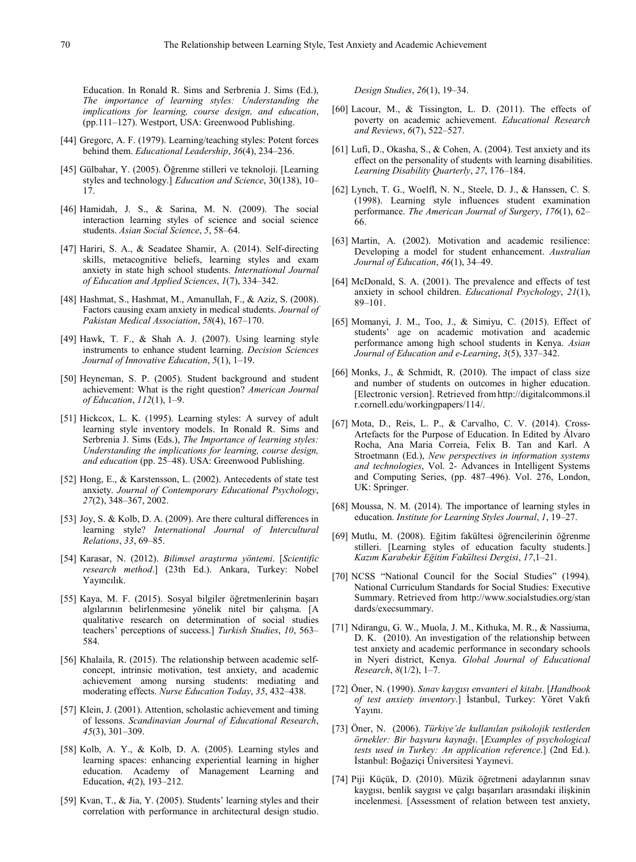Education. In Ronald R. Sims and Serbrenia J. Sims (Ed.), *The importance of learning styles: Understanding the implications for learning, course design, and education*, (pp.111–127). Westport, USA: Greenwood Publishing.

- [44] Gregorc, A. F. (1979). Learning/teaching styles: Potent forces behind them. *Educational Leadership*, *36*(4), 234–236.
- [45] Gülbahar, Y. (2005). Öğrenme stilleri ve teknoloji. [Learning styles and technology.] *Education and Science*, 30(138), 10– 17.
- [46] Hamidah, J. S., & Sarina, M. N. (2009). The social interaction learning styles of science and social science students. *Asian Social Science*, *5*, 58–64.
- [47] Hariri, S. A., & Seadatee Shamir, A. (2014). Self-directing skills, metacognitive beliefs, learning styles and exam anxiety in state high school students. *International Journal of Education and Applied Sciences*, *1*(7), 334–342.
- [48] Hashmat, S., Hashmat, M., Amanullah, F., & Aziz, S. (2008). Factors causing exam anxiety in medical students. *Journal of Pakistan Medical Association*, *58*(4), 167–170.
- [49] Hawk, T. F., & Shah A. J. (2007). Using learning style instruments to enhance student learning. *Decision Sciences Journal of Innovative Education*, *5*(1), 1–19.
- [50] Heyneman, S. P. (2005). Student background and student achievement: What is the right question? *American Journal of Education*, *112*(1), 1–9.
- [51] Hickcox, L. K. (1995). Learning styles: A survey of adult learning style inventory models. In Ronald R. Sims and Serbrenia J. Sims (Eds.), *The Importance of learning styles: Understanding the implications for learning, course design, and education* (pp. 25–48). USA: Greenwood Publishing.
- [52] Hong, E., & Karstensson, L. (2002). Antecedents of state test anxiety. *Journal of Contemporary Educational Psychology*, *27*(2), 348–367, 2002.
- [53] Joy, S. & Kolb, D. A. (2009). Are there cultural differences in learning style? *International Journal of Intercultural Relations*, *33*, 69–85.
- [54] Karasar, N. (2012). *Bilimsel araştırma yöntemi*. [*Scientific research method*.] (23th Ed.). Ankara, Turkey: Nobel Yayıncılık.
- [55] Kaya, M. F. (2015). Sosyal bilgiler öğretmenlerinin başarı algılarının belirlenmesine yönelik nitel bir çalışma. [A qualitative research on determination of social studies teachers' perceptions of success.] *Turkish Studies*, *10*, 563– 584.
- [56] Khalaila, R. (2015). The relationship between academic selfconcept, intrinsic motivation, test anxiety, and academic achievement among nursing students: mediating and moderating effects. *Nurse Education Today*, *35*, 432–438.
- [57] Klein, J. (2001). Attention, scholastic achievement and timing of lessons. *Scandinavian Journal of Educational Research*, *45*(3), 301–309.
- [58] Kolb, A. Y., & Kolb, D. A. (2005). Learning styles and learning spaces: enhancing experiential learning in higher education. Academy of Management Learning and Education, *4*(2), 193–212.
- [59] Kvan, T., & Jia, Y. (2005). Students' learning styles and their correlation with performance in architectural design studio.

*Design Studies*, *26*(1), 19–34.

- [60] Lacour, M., & Tissington, L. D. (2011). The effects of poverty on academic achievement. *Educational Research and Reviews*, *6*(7), 522–527.
- [61] Lufi, D., Okasha, S., & Cohen, A. (2004). Test anxiety and its effect on the personality of students with learning disabilities. *Learning Disability Quarterly*, *27*, 176–184.
- [62] Lynch, T. G., Woelfl, N. N., Steele, D. J., & Hanssen, C. S. (1998). Learning style influences student examination performance. *The American Journal of Surgery*, *176*(1), 62– 66.
- [63] Martin, A. (2002). Motivation and academic resilience: Developing a model for student enhancement. *Australian Journal of Education*, *46*(1), 34–49.
- [64] McDonald, S. A. (2001). The prevalence and effects of test anxiety in school children. *Educational Psychology*, *21*(1), 89–101.
- [65] Momanyi, J. M., Too, J., & Simiyu, C. (2015). Effect of students' age on academic motivation and academic performance among high school students in Kenya. *Asian Journal of Education and e-Learning*, *3*(5), 337–342.
- [66] Monks, J., & Schmidt, R. (2010). The impact of class size and number of students on outcomes in higher education. [Electronic version]. Retrieved fromhttp://digitalcommons.il r.cornell.edu/workingpapers/114/.
- [67] Mota, D., Reis, L. P., & Carvalho, C. V. (2014). Cross-Artefacts for the Purpose of Education. In Edited by Álvaro Rocha, Ana Maria Correia, Felix B. Tan and Karl. A Stroetmann (Ed.), *New perspectives in information systems and technologies*, Vol. 2- Advances in Intelligent Systems and Computing Series, (pp. 487–496). Vol. 276, London, UK: Springer.
- [68] Moussa, N. M. (2014). The importance of learning styles in education. *Institute for Learning Styles Journal*, *1*, 19–27.
- [69] Mutlu, M. (2008). Eğitim fakültesi öğrencilerinin öğrenme stilleri. [Learning styles of education faculty students.] *Kazım Karabekir Eğitim Fakültesi Dergisi*, *17*,1–21.
- [70] NCSS "National Council for the Social Studies" (1994). National Curriculum Standards for Social Studies: Executive Summary. Retrieved from http://www.socialstudies.org/stan dards/execsummary.
- [71] Ndirangu, G. W., Muola, J. M., Kithuka, M. R., & Nassiuma, D. K. (2010). An investigation of the relationship between test anxiety and academic performance in secondary schools in Nyeri district, Kenya. *Global Journal of Educational Research*, *8*(1/2), 1–7.
- [72] Öner, N. (1990). *Sınav kaygısı envanteri el kitabı*. [*Handbook of test anxiety inventory*.] İstanbul, Turkey: Yöret Vakfı Yayını.
- [73] Öner, N. (2006). *Türkiye'de kullanılan psikolojik testlerden örnekler: Bir başvuru kaynağı*. [*Examples of psychological tests used in Turkey: An application reference*.] (2nd Ed.). İstanbul: Boğaziçi Üniversitesi Yayınevi.
- [74] Piji Küçük, D. (2010). Müzik öğretmeni adaylarının sınav kaygısı, benlik saygısı ve çalgı başarıları arasındaki ilişkinin incelenmesi. [Assessment of relation between test anxiety,